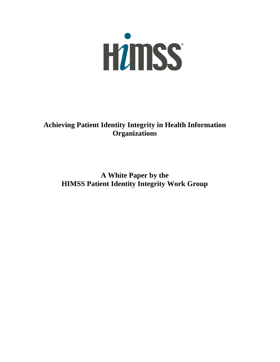

**Achieving Patient Identity Integrity in Health Information Organizations** 

**A White Paper by the HIMSS Patient Identity Integrity Work Group**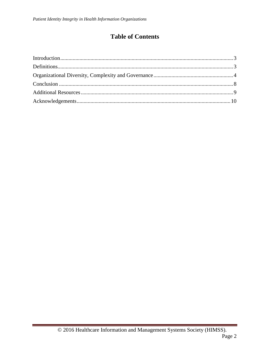# **Table of Contents**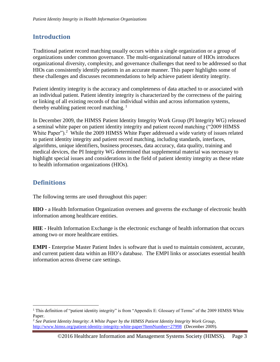# <span id="page-2-0"></span>**Introduction**

Traditional patient record matching usually occurs within a single organization or a group of organizations under common governance. The multi-organizational nature of HIOs introduces organizational diversity, complexity, and governance challenges that need to be addressed so that HIOs can consistently identify patients in an accurate manner. This paper highlights some of these challenges and discusses recommendations to help achieve patient identity integrity.

Patient identity integrity is the accuracy and completeness of data attached to or associated with an individual patient. Patient identity integrity is characterized by the correctness of the pairing or linking of all existing records of that individual within and across information systems, thereby enabling patient record matching.<sup>1</sup>

In December 2009, the HIMSS Patient Identity Integrity Work Group (PI Integrity WG) released a seminal white paper on patient identity integrity and patient record matching ("2009 HIMSS White Paper").<sup>2</sup> While the 2009 HIMSS White Paper addressed a wide variety of issues related to patient identity integrity and patient record matching, including standards, interfaces, algorithms, unique identifiers, business processes, data accuracy, data quality, training and medical devices, the PI Integrity WG determined that supplemental material was necessary to highlight special issues and considerations in the field of patient identity integrity as these relate to health information organizations (HIOs).

# <span id="page-2-1"></span>**Definitions**

 $\overline{a}$ 

The following terms are used throughout this paper:

**HIO -** a Health Information Organization oversees and governs the exchange of electronic health information among healthcare entities.

**HIE -** Health Information Exchange is the electronic exchange of health information that occurs among two or more healthcare entities.

**EMPI -** Enterprise Master Patient Index is software that is used to maintain consistent, accurate, and current patient data within an HIO's database. The EMPI links or associates essential health information across diverse care settings.

<sup>&</sup>lt;sup>1</sup> This definition of "patient identity integrity" is from "Appendix E: Glossary of Terms" of the 2009 HIMSS White Paper.

<sup>2</sup> *See Patient Identity Integrity*: *A White Paper by the HIMSS Patient Identity Integrity Work Group*, <http://www.himss.org/patient-identity-integrity-white-paper?ItemNumber=27998>(December 2009).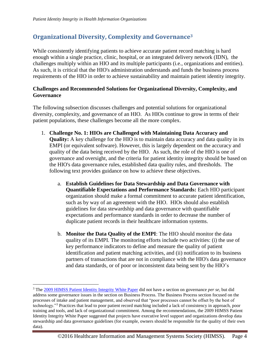$\overline{a}$ 

#### <span id="page-3-0"></span>**Organizational Diversity, Complexity and Governance<sup>3</sup>**

While consistently identifying patients to achieve accurate patient record matching is hard enough within a single practice, clinic, hospital, or an integrated delivery network (IDN), the challenges multiply within an HIO and its multiple participants (i.e., organizations and entities). As such, it is critical that the HIO's administration understands and funds the business process requirements of the HIO in order to achieve sustainability and maintain patient identity integrity.

#### **Challenges and Recommended Solutions for Organizational Diversity, Complexity, and Governance**

The following subsection discusses challenges and potential solutions for organizational diversity, complexity, and governance of an HIO. As HIOs continue to grow in terms of their patient populations, these challenges become all the more complex.

- 1. **Challenge No. 1: HIOs are Challenged with Maintaining Data Accuracy and Quality:** A key challenge for the HIO is to maintain data accuracy and data quality in its EMPI (or equivalent software). However, this is largely dependent on the accuracy and quality of the data being received by the HIO. As such, the role of the HIO is one of governance and oversight, and the criteria for patient identity integrity should be based on the HIO's data governance rules, established data quality rules, and thresholds. The following text provides guidance on how to achieve these objectives.
	- a. **Establish Guidelines for Data Stewardship and Data Governance with Quantifiable Expectations and Performance Standards:** Each HIO participant organization should make a formal commitment to accurate patient identification, such as by way of an agreement with the HIO. HIOs should also establish guidelines for data stewardship and data governance with quantifiable expectations and performance standards in order to decrease the number of duplicate patient records in their healthcare information systems.
	- b. **Monitor the Data Quality of the EMPI**: The HIO should monitor the data quality of its EMPI. The monitoring efforts include two activities: (i) the use of key performance indicators to define and measure the quality of patient identification and patient matching activities, and (ii) notification to its business partners of transactions that are not in compliance with the HIO's data governance and data standards, or of poor or inconsistent data being sent by the HIO's

<sup>3</sup> The [2009 HIMSS Patient Identity Integrity White Paper](http://www.himss.org/ResourceLibrary/genResourceDetailPDF.aspx?ItemNumber=27998) did not have a section on governance *per se*, but did address some governance issues in the section on Business Process. The Business Process section focused on the processes of intake and patient management, and observed that "poor processes cannot be offset by the best of technology."<sup>3</sup> Practices that lead to poor patient record matching included a lack of consistency in approach, poor training and tools, and lack of organizational commitment. Among the recommendations, the 2009 HIMSS Patient Identity Integrity White Paper suggested that projects have executive level support and organizations develop data stewardship and data governance guidelines (for example, owners should be responsible for the quality of their own data).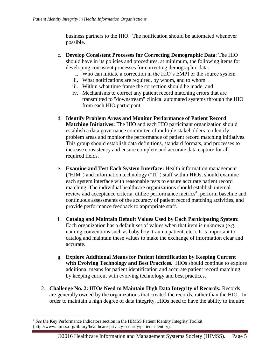business partners to the HIO. The notification should be automated whenever possible.

- c. **Develop Consistent Processes for Correcting Demographic Data**: The HIO should have in its policies and procedures, at minimum, the following items for developing consistent processes for correcting demographic data:
	- i. Who can initiate a correction in the HIO's EMPI or the source system
	- ii. What notifications are required, by whom, and to whom
	- iii. Within what time frame the correction should be made; and
	- iv. Mechanisms to correct any patient record matching errors that are transmitted to "downstream" clinical automated systems through the HIO from each HIO participant.
- d. **Identify Problem Areas and Monitor Performance of Patient Record Matching Initiatives:** The HIO and each HIO participant organization should establish a data governance committee of multiple stakeholders to identify problem areas and monitor the performance of patient record matching initiatives. This group should establish data definitions, standard formats, and processes to increase consistency and ensure complete and accurate data capture for all required fields.
- e. **Examine and Test Each System Interface:** Health information management ("HIM") and information technology ("IT") staff within HIOs, should examine each system interface with reasonable tests to ensure accurate patient record matching. The individual healthcare organizations should establish internal review and acceptance criteria, utilize performance metrics<sup>4</sup>, perform baseline and continuous assessments of the accuracy of patient record matching activities, and provide performance feedback to appropriate staff.
- f. **Catalog and Maintain Default Values Used by Each Participating System:** Each organization has a default set of values when that item is unknown (e.g. naming conventions such as baby boy, trauma patient, etc.). It is important to catalog and maintain these values to make the exchange of information clear and accurate.
- g. **Explore Additional Means for Patient Identification by Keeping Current with Evolving Technology and Best Practices.** HIOs should continue to explore additional means for patient identification and accurate patient record matching by keeping current with evolving technology and best practices.
- 2. **Challenge No. 2: HIOs Need to Maintain High Data Integrity of Records:** Records are generally owned by the organizations that created the records, rather than the HIO. In order to maintain a high degree of data integrity, HIOs need to have the ability to inquire

 $\overline{a}$ 

<sup>4</sup> *See* the Key Performance Indicators section in the HIMSS Patient Identity Integrity Toolkit (http://www.himss.org/library/healthcare-privacy-security/patient-identity).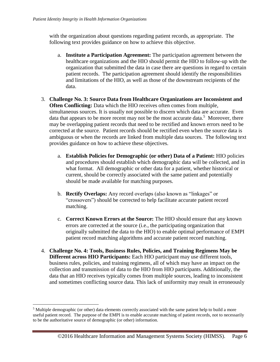with the organization about questions regarding patient records, as appropriate. The following text provides guidance on how to achieve this objective.

- a. **Institute a Participation Agreement:** The participation agreement between the healthcare organizations and the HIO should permit the HIO to follow-up with the organization that submitted the data in case there are questions in regard to certain patient records. The participation agreement should identify the responsibilities and limitations of the HIO, as well as those of the downstream recipients of the data.
- 3. **Challenge No. 3: Source Data from Healthcare Organizations are Inconsistent and Often Conflicting:** Data which the HIO receives often comes from multiple, simultaneous sources. It is usually not possible to discern which data are accurate. Even data that appears to be more recent may not be the most accurate data.<sup>5</sup> Moreover, there may be overlapping patient records that need to be rectified and known errors need to be corrected at the source. Patient records should be rectified even when the source data is ambiguous or when the records are linked from multiple data sources. The following text provides guidance on how to achieve these objectives.
	- a. **Establish Policies for Demographic (or other) Data of a Patient:** HIO policies and procedures should establish which demographic data will be collected, and in what format. All demographic or other data for a patient, whether historical or current, should be correctly associated with the same patient and potentially should be made available for matching purposes.
	- b. **Rectify Overlaps:** Any record overlaps (also known as "linkages" or "crossovers") should be corrected to help facilitate accurate patient record matching.
	- c. **Correct Known Errors at the Source:** The HIO should ensure that any known errors are corrected at the source (i.e., the participating organization that originally submitted the data to the HIO) to enable optimal performance of EMPI patient record matching algorithms and accurate patient record matching.
- 4. **Challenge No. 4: Tools, Business Rules, Policies, and Training Regimens May be Different across HIO Participants:** Each HIO participant may use different tools, business rules, policies, and training regimens, all of which may have an impact on the collection and transmission of data to the HIO from HIO participants. Additionally, the data that an HIO receives typically comes from multiple sources, leading to inconsistent and sometimes conflicting source data. This lack of uniformity may result in erroneously

 $\overline{a}$ 

<sup>&</sup>lt;sup>5</sup> Multiple demographic (or other) data elements correctly associated with the same patient help to build a more useful patient record. The purpose of the EMPI is to enable accurate matching of patient records, not to necessarily to be the authoritative source of demographic (or other) information.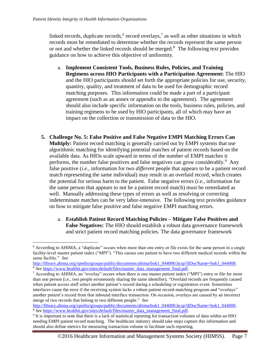$\overline{a}$ 

linked records, duplicate records,  $6$  record overlays,  $7$  as well as other situations in which records must be remediated to determine whether the records represent the same person or not and whether the linked records should be merged.<sup>8</sup> The following text provides guidance on how to achieve this objective of uniformity.

- a. **Implement Consistent Tools, Business Rules, Policies, and Training Regimens across HIO Participants with a Participation Agreement:** The HIO and the HIO participants should set forth the appropriate policies for use, security, quantity, quality, and treatment of data to be used for demographic record matching purposes. This information could be made a part of a participant agreement (such as an annex or appendix to the agreement). The agreement should also include specific information on the tools, business rules, policies, and training regimens to be used by HIO participants, all of which may have an impact on the collection or transmission of data to the HIO.
- **5. Challenge No. 5: False Positive and False Negative EMPI Matching Errors Can Multiply:** Patient record matching is generally carried out by EMPI systems that use algorithmic matching for identifying potential matches of patient records based on the available data. As HIOs scale upward in terms of the number of EMPI matches it performs, the number false positives and false negatives can grow considerably.<sup>9</sup> Any false positive (*i.e.,* information for two *different* people that appears to be a patient record match representing the same individual) may result in an overlaid record, which creates the potential for serious harm to the patient. False negative errors (*i.e.,* information for the same person that appears to not be a patient record match) must be remediated as well. Manually addressing these types of errors as well as resolving or correcting indeterminate matches can be very labor-intensive. The following text provides guidance on how to mitigate false positive and false negative EMPI matching errors.
	- a. **Establish Patient Record Matching Policies – Mitigate False Positives and False Negatives:** The HIO should establish a robust data governance framework and strict patient record matching policies. The data governance framework

[http://library.ahima.org/xpedio/groups/public/documents/ahima/bok1\\_044000.hcsp?dDocName=bok1\\_044000.](http://library.ahima.org/xpedio/groups/public/documents/ahima/bok1_044000.hcsp?dDocName=bok1_044000) <sup>8</sup> *See* [https://www.healthit.gov/sites/default/files/master\\_data\\_management\\_final.pdf](https://www.healthit.gov/sites/default/files/master_data_management_final.pdf)*.*

<sup>6</sup> According to AHIMA, a "duplicate" occurs when more than one entry or file exists for the same person in a single facility-level master patient index ("MPI"). "This causes one patient to have two different medical records within the same facility." *See* 

[http://library.ahima.org/xpedio/groups/public/documents/ahima/bok1\\_044000.hcsp?dDocName=bok1\\_044000.](http://library.ahima.org/xpedio/groups/public/documents/ahima/bok1_044000.hcsp?dDocName=bok1_044000) <sup>6</sup> *See* [https://www.healthit.gov/sites/default/files/master\\_data\\_management\\_final.pdf](https://www.healthit.gov/sites/default/files/master_data_management_final.pdf)*.*

<sup>7</sup> According to AHIMA, an "overlay" occurs when there is one master patient index ("MPI") entry or file for more than one person (i.e., two people erroneously sharing the same identifier). "Overlaid records are frequently caused when patient access staff select another patient's record during a scheduling or registration event. Sometimes interfaces cause the error if the receiving system lacks a robust patient record-matching program and "overlays" another patient's record from that inbound interface transaction. On occasion, overlays are caused by an incorrect merge of two records that belong to two different people." *See* 

<sup>9</sup> It is important to note that there is a lack of statistical reporting for transaction volumes of data within an HIO needing EMPI patient record matching. The healthcare industry should take steps capture this information and should also define metrics for measuring transaction volume to facilitate such reporting.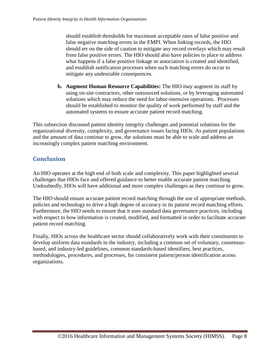should establish thresholds for maximum acceptable rates of false positive and false negative matching errors in the EMPI. When linking records, the HIO should err on the side of caution to mitigate any record overlays which may result from false positive errors. The HIO should also have policies in place to address what happens if a false positive linkage or association is created and identified, and establish notification processes when such matching errors do occur to mitigate any undesirable consequences.

**b. Augment Human Resource Capabilities:** The HIO may augment its staff by using on-site contractors, other outsourced solutions, or by leveraging automated solutions which may reduce the need for labor-intensive operations. Processes should be established to monitor the quality of work performed by staff and the automated systems to ensure accurate patient record matching.

This subsection discussed patient identity integrity challenges and potential solutions for the organizational diversity, complexity, and governance issues facing HIOs. As patient populations and the amount of data continue to grow, the solutions must be able to scale and address an increasingly complex patient matching environment.

# <span id="page-7-0"></span>**Conclusion**

An HIO operates at the high end of both scale and complexity. This paper highlighted several challenges that HIOs face and offered guidance to better enable accurate patient matching. Undoubtedly, HIOs will have additional and more complex challenges as they continue to grow.

The HIO should ensure accurate patient record matching through the use of appropriate methods, policies and technology to drive a high degree of accuracy in its patient record matching efforts. Furthermore, the HIO needs to ensure that it uses standard data governance practices, including with respect to how information is created, modified, and formatted in order to facilitate accurate patient record matching.

Finally, HIOs across the healthcare sector should collaboratively work with their constituents to develop uniform data standards in the industry, including a common set of voluntary, consensusbased, and industry-led guidelines, common standards-based identifiers, best practices, methodologies, procedures, and processes, for consistent patient/person identification across organizations.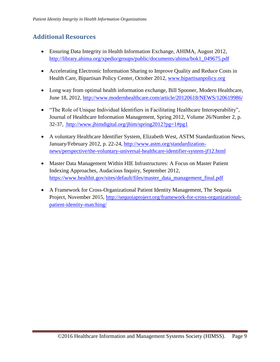# <span id="page-8-0"></span>**Additional Resources**

- Ensuring Data Integrity in Health Information Exchange, AHIMA, August 2012, [http://library.ahima.org/xpedio/groups/public/documents/ahima/bok1\\_049675.pdf](http://library.ahima.org/xpedio/groups/public/documents/ahima/bok1_049675.pdf)
- Accelerating Electronic Information Sharing to Improve Quality and Reduce Costs in Health Care, Bipartisan Policy Center, October 2012, [www.bipartisanpolicy.org](http://www.bipartisanpolicy.org/)
- Long way from optimal health information exchange, Bill Spooner, Modern Healthcare, June 18, 2012,<http://www.modernhealthcare.com/article/20120618/NEWS/120619986/>
- "The Role of Unique Individual Identifiers in Facilitating Healthcare Interoperability", Journal of Healthcare Information Management, Spring 2012, Volume 26/Number 2, p. 32-37, <http://www.jhimdigital.org/jhim/spring2012?pg=1#pg1>
- A voluntary Healthcare Identifier System, Elizabeth West, ASTM Standardization News, January/February 2012, p. 22-24, [http://www.astm.org/standardization](http://www.astm.org/standardization-news/perspective/the-voluntary-universal-healthcare-identifier-system-jf12.html)[news/perspective/the-voluntary-universal-healthcare-identifier-system-jf12.html](http://www.astm.org/standardization-news/perspective/the-voluntary-universal-healthcare-identifier-system-jf12.html)
- Master Data Management Within HIE Infrastructures: A Focus on Master Patient Indexing Approaches, Audacious Inquiry, September 2012, [https://www.healthit.gov/sites/default/files/master\\_data\\_management\\_final.pdf](https://www.healthit.gov/sites/default/files/master_data_management_final.pdf)
- A Framework for Cross-Organizational Patient Identity Management, The Sequoia Project, November 2015, [http://sequoiaproject.org/framework-for-cross-organizational](http://sequoiaproject.org/framework-for-cross-organizational-patient-identity-matching/)[patient-identity-matching/](http://sequoiaproject.org/framework-for-cross-organizational-patient-identity-matching/)